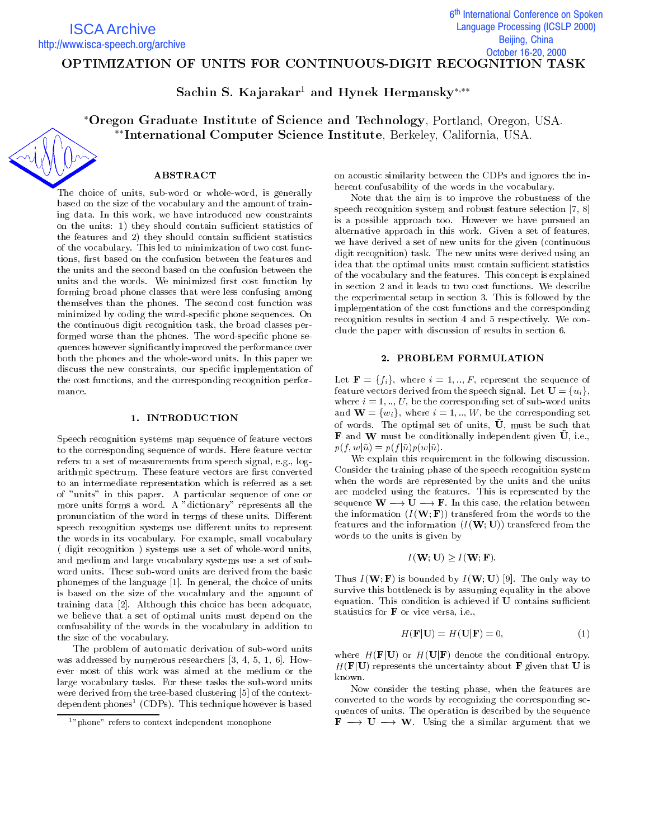6<sup>th</sup> International Conference on Spoken İ **Language Processing (ICSLP 2000)** Beijing, China October 16-20, 2000

# OPTIMIZATION OF UNITS FOR CONTINUOUS-DIGIT RECOGNITION TASK

Sachin S. Kajarakar<sup>1</sup> and Hynek Hermansky\*,\*\*

\*Oregon Graduate Institute of Science and Technology, Portland, Oregon, USA. International Computer Science Institute, Berkeley, California, USA.

### ABSTRACT

The choice of units, sub-word or whole-word, is generally based on the size of the vocabulary and the amount of training data. In this work, we have introduced new constraints on the units: 1) they should contain sufficient statistics of the features and 2) they should contain sufficient statistics of the vocabulary. This led to minimization of two cost functions, first based on the confusion between the features and the units and the second based on the confusion between the units and the words. We minimized first cost function by forming broad phone classes that were less confusing among themselves than the phones. The second cost function was minimized by coding the word-specic phone sequences. On the continuous digit recognition task, the broad classes performed worse than the phones. The word-specific phone sequences however signicantly improved the performance over both the phones and the whole-word units. In this paper we discuss the new constraints, our specic implementation of the cost functions, and the corresponding recognition perfor mance.

#### 1. INTRODUCTION

Speech recognition systems map sequence of feature vectors to the corresponding sequence of words. Here feature vector refers to a set of measurements from speech signal, e.g., logarithmic spectrum. These feature vectors are first converted to an intermediate representation which is referred as a set of "units" in this paper. A particular sequence of one or more units forms a word. A "dictionary" represents all the pronunciation of the word in terms of these units. Different speech recognition systems use different units to represent the words in its vocabulary. For example, small vocabulary ( digit recognition ) systems use a set of whole-word units, and medium and large vocabulary systems use a set of sub word units. These sub-word units are derived from the basic phonemes of the language [1]. In general, the choice of units is based on the size of the vocabulary and the amount of training data [2]. Although this choice has been adequate, we believe that a set of optimal units must depend on the confusability of the words in the vocabulary in addition to the size of the vocabulary.

The problem of automatic derivation of sub-word units was addressed by numerous researchers [3, 4, 5, 1, 6]. How ever most of this work was aimed at the medium or the large vocabulary tasks. For these tasks the sub-word units were derived from the tree-based clustering [5] of the contextdependent phones (CDPs). This technique however is based and the

on acoustic similarity between the CDPs and ignores the inherent confusability of the words in the vocabulary.

Note that the aim is to improve the robustness of the speech recognition system and robust feature selection [7, 8] is a possible approach too. However we have pursued an alternative approach in this work. Given a set of features, we have derived a set of new units for the given (continuous digit recognition) task. The new units were derived using an idea that the optimal units must contain sufficient statistics of the vocabulary and the features. This concept is explained in section 2 and it leads to two cost functions. We describe the experimental setup in section 3. This is followed by the implementation of the cost functions and the corresponding recognition results in section 4 and 5 respectively. We con clude the paper with discussion of results in section 6.

Let  $\mathbf{F} = \{f_i\}$ , where  $i = 1, ..., F$ , represent the sequence of feature vectors derived from the speech signal. Let  $\mathbf{U} = \{u_i\},\$ where  $i = 1, ..., U$ , be the corresponding set of sub-word units and  $\mathbf{W} = \{w_i\}$ , where  $i = 1, ..., W$ , be the corresponding set of words. The optimal set of units,  $\tilde{U}$ , must be such that **F** and **W** must be conditionally independent given  $\tilde{\mathbf{U}}$ , i.e.,  $p(f, w | \tilde{u}) = p(f | \tilde{u})p(w | \tilde{u}).$ 

We explain this requirement in the following discussion. Consider the training phase of the speech recognition system when the words are represented by the units and the units are modeled using the features. This is represented by the sequence  $W \longrightarrow U \longrightarrow F$ . In this case, the relation between the information  $(I(\mathbf{W}; \mathbf{F}))$  transfered from the words to the features and the information  $(I(W; U))$  transfered from the words to the units is given by

$$
I(\mathbf{W};\mathbf{U}) \ge I(\mathbf{W};\mathbf{F})
$$

Thus  $I(\mathbf{W}; \mathbf{F})$  is bounded by  $I(\mathbf{W}; \mathbf{U})$  [9]. The only way to survive this bottleneck is by assuming equality in the above equation. This condition is achieved if  $U$  contains sufficient statistics for F or vice versa, i.e.,

$$
H(\mathbf{F}|\mathbf{U}) = H(\mathbf{U}|\mathbf{F}) = 0,\tag{1}
$$

where  $H(\mathbf{F}|\mathbf{U})$  or  $H(\mathbf{U}|\mathbf{F})$  denote the conditional entropy.  $H(\mathbf{F}|\mathbf{U})$  represents the uncertainty about **F** given that **U** is known.

Now consider the testing phase, when the features are converted to the words by recognizing the corresponding sequences of units. The operation is described by the sequence  $\mathbf{F} \longrightarrow \mathbf{U} \longrightarrow \mathbf{W}$ . Using the a similar argument that we

<sup>&</sup>lt;sup>1</sup>"phone" refers to context independent monophone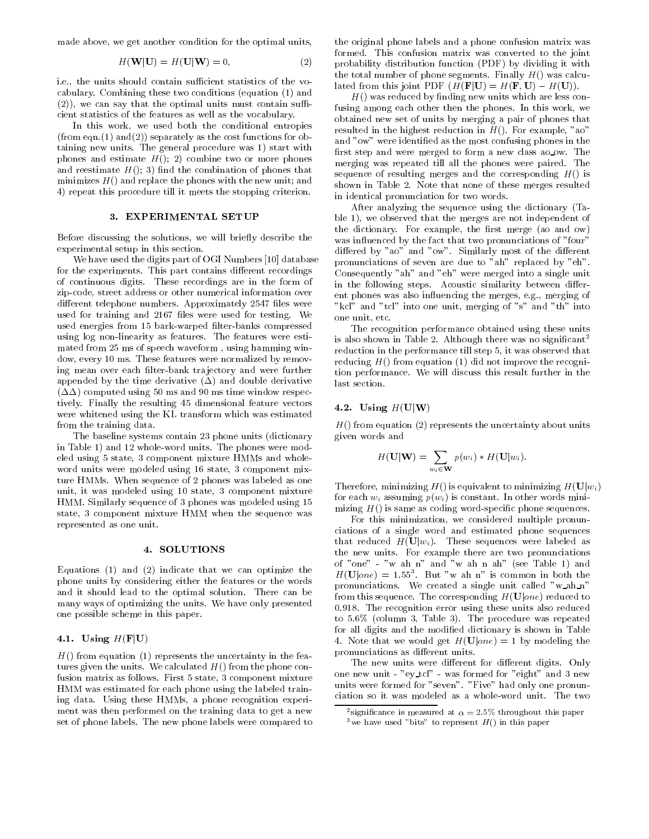made above, we get another condition for the optimal units,

$$
H(\mathbf{W}|\mathbf{U}) = H(\mathbf{U}|\mathbf{W}) = 0,
$$
\n(2)

i.e., the units should contain sufficient statistics of the vocabulary. Combining these two conditions (equation (1) and  $(2)$ , we can say that the optimal units must contain sufficient statistics of the features as well as the vocabulary.

In this work, we used both the conditional entropies (from eqn.(1) and(2)) separately as the cost functions for obtaining new units. The general procedure was 1) start with phones and estimate  $H($ ); 2) combine two or more phones and reestimate  $H($ ); 3) find the combination of phones that minimizes  $H()$  and replace the phones with the new unit; and 4) repeat this procedure till it meets the stopping criterion.

#### 3. EXPERIMENTAL SETUP

Before discussing the solutions, we will briefly describe the experimental setup in this section.

We have used the digits part of OGI Numbers [10] database for the experiments. This part contains different recordings of continuous digits. These recordings are in the form of zip-code, street address or other numerical information over different telephone numbers. Approximately 2547 files were used for training and 2167 files were used for testing. We used energies from 15 bark-warped filter-banks compressed using log non-linearity as features. The features were estimated from 25 ms of speech waveform , using hamming window, every 10 ms. These features were normalized by removing mean over each filter-bank trajectory and were further appended by the time derivative  $(\Delta)$  and double derivative  $(\Delta\Delta)$  computed using 50 ms and 90 ms time window respectively. Finally the resulting 45 dimensional feature vectors were whitened using the KL transform which was estimated from the training data.

The baseline systems contain 23 phone units (dictionary in Table 1) and 12 whole-word units. The phones were modeled using 5 state, 3 component mixture HMMs and whole word units were modeled using 16 state, 3 component mixture HMMs. When sequence of 2 phones was labeled as one unit, it was modeled using 10 state, 3 component mixture HMM. Similarly sequence of 3 phones was modeled using 15 state, 3 component mixture HMM when the sequence was represented as one unit.

#### 4. SOLUTIONS

Equations (1) and (2) indicate that we can optimize the phone units by considering either the features or the words and it should lead to the optimal solution. There can be many ways of optimizing the units. We have only presented one possible scheme in this paper.

## 4.1. Using  $H(\mathbf{F}|\mathbf{U})$

 $H()$  from equation (1) represents the uncertainty in the features given the units. We calculated  $H()$  from the phone confusion matrix as follows. First 5 state, 3 component mixture HMM was estimated for each phone using the labeled training data. Using these HMMs, a phone recognition experi ment was then performed on the training data to get a new set of phone labels. The new phone labels were compared to

the original phone labels and a phone confusion matrix was formed. This confusion matrix was converted to the joint probability distribution function (PDF) by dividing it with the total number of phone segments. Finally  $H()$  was calculated from this joint PDF  $(H(\mathbf{F}|\mathbf{U}) = H(\mathbf{F}, \mathbf{U}) - H(\mathbf{U})).$ 

 $H()$  was reduced by finding new units which are less confusing among each other then the phones. In this work, we obtained new set of units by merging a pair of phones that resulted in the highest reduction in  $H()$ . For example, "ao" and "ow" were identied as the most confusing phones in the first step and were merged to form a new class ao ow. The merging was repeated till all the phones were paired. The sequence of resulting merges and the corresponding  $H()$  is shown in Table 2. Note that none of these merges resulted in identical pronunciation for two words.

After analyzing the sequence using the dictionary (Ta ble 1), we observed that the merges are not independent of the dictionary. For example, the first merge (ao and ow) was influenced by the fact that two pronunciations of "four" differed by "ao" and "ow". Similarly most of the different pronunciations of seven are due to "ah" replaced by "eh". Consequently "ah" and "eh" were merged into a single unit in the following steps. Acoustic similarity between different phones was also influencing the merges, e.g., merging of "kcl" and "tcl" into one unit, merging of "s" and "th" into one unit, etc.

The recognition performance obtained using these units is also shown in Table 2. Although there was no signicant <sup>2</sup> reduction in the performance till step 5, it was observed that reducing  $H()$  from equation (1) did not improve the recognition performance. We will discuss this result further in the last section.

# 4.2. Using  $H(U|W)$

 $H()$  from equation (2) represents the uncertainty about units given words and

$$
H(\mathbf{U}|\mathbf{W})=\sum_{w_i\in\mathbf{W}}p(w_i)*H(\mathbf{U}|w_i).
$$

Therefore, minimizing  $H()$  is equivalent to minimizing  $H(\mathbf{U}|w_i)$ for each  $w_i$  assuming  $p(w_i)$  is constant. In other words minimizing  $H()$  is same as coding word-specific phone sequences.

For this minimization, we considered multiple pronun ciations of a single word and estimated phone sequences that reduced  $H(\mathbf{U}|w_i)$ . These sequences were labeled as the new units. For example there are two pronunciations of "one" - "w ah n" and "w ah n ah" (see Table 1) and  $H(\mathbf{U}|one) = 1.55^3$ . But "w ah n" is common in both the pronunciations. We created <sup>a</sup> single unit called "w ah n" from this sequence. The corresponding  $H(\mathbf{U}|one)$  reduced to 0.918. The recognition error using these units also reduced to 5.6% (column 3, Table 3). The procedure was repeated for all digits and the modied dictionary is shown in Table 4. Note that we would get  $H(\mathbf{U}|one)=1$  by modeling the pronunciations as different units.

The new units were different for different digits. Only one new unit - "ey tcl" - was formed for "eight" and 3 new units were formed for "seven". "Five" had only one pronun ciation so it was modeled as a whole-word unit. The two

 $\sim$ significance is measured at  $\alpha =$  2.5% throughout this paper

 $\,$  we have used "bits" to represent  $_{H}$ () in this paper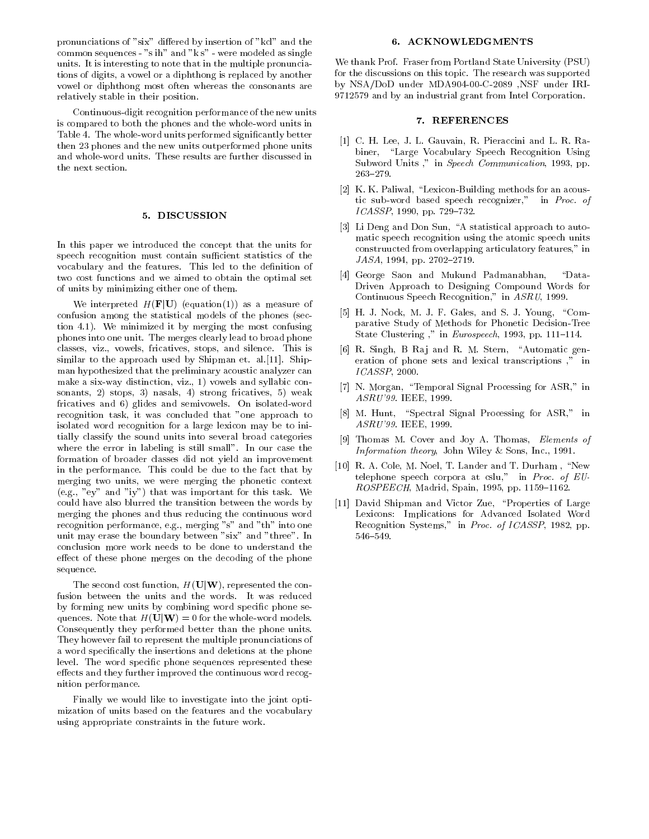pronunciations of "six" differed by insertion of "kcl" and the common sequences - "s ih" and "k s" - were modeled as single units. It is interesting to note that in the multiple pronunciations of digits, a vowel or a diphthong is replaced by another vowel or diphthong most often whereas the consonants are relatively stable in their position.

Continuous-digit recognition performance of the new units is compared to both the phones and the whole-word units in Table 4. The whole-word units performed signicantly better then 23 phones and the new units outperformed phone units and whole-word units. These results are further discussed in the next section.

# 5. DISCUSSION

In this paper we introduced the concept that the units for speech recognition must contain sufficient statistics of the vocabulary and the features. This led to the denition of two cost functions and we aimed to obtain the optimal set of units by minimizing either one of them.

We interpreted  $H(\mathbf{F}|\mathbf{U})$  (equation(1)) as a measure of confusion among the statistical models of the phones (section 4.1). We minimized it by merging the most confusing phones into one unit. The merges clearly lead to broad phone classes, viz., vowels, fricatives, stops, and silence. This is similar to the approach used by Shipman et. al.[11]. Shipman hypothesized that the preliminary acoustic analyzer can make a six-way distinction, viz., 1) vowels and syllabic con sonants, 2) stops, 3) nasals, 4) strong fricatives, 5) weak fricatives and 6) glides and semivowels. On isolated-word recognition task, it was concluded that "one approach to isolated word recognition for a large lexicon may be to initially classify the sound units into several broad categories where the error in labeling is still small". In our case the formation of broader classes did not yield an improvement in the performance. This could be due to the fact that by merging two units, we were merging the phonetic context (e.g., "ey" and "iy") that was important for this task. We could have also blurred the transition between the words by merging the phones and thus reducing the continuous word recognition performance, e.g., merging "s" and "th" into one unit may erase the boundary between "six" and "three". In the boundary between "six" and "three". In the six t conclusion more work needs to be done to understand the effect of these phone merges on the decoding of the phone sequence.

The second cost function,  $H(U|W)$ , represented the confusion between the units and the words. It was reduced by forming new units by combining word specic phone sequences. Note that  $H(\mathbf{U}|\mathbf{W}) = 0$  for the whole-word models. Consequently they performed better than the phone units. They however fail to represent the multiple pronunciations of a word specically the insertions and deletions at the phone level. The word specific phone sequences represented these effects and they further improved the continuous word recognition performance.

Finally we would like to investigate into the joint optimization of units based on the features and the vocabulary using appropriate constraints in the future work.

#### 6. ACKNOWLEDGMENTS

We thank Prof. Fraser from Portland State University (PSU) for the discussions on this topic. The research was supported by NSA/DoD under MDA904-00-C-2089 ,NSF under IRI-9712579 and by an industrial grant from Intel Corporation.

# 7. REFERENCES

- [1] C. H. Lee, J. L. Gauvain, R. Pieraccini and L. R. Rabiner, "Large Vocabulary Speech Recognition Using Subword Units ," in Speech Communication, 1993, pp.  $263 - 279.$
- [2] K. K. Paliwal, "Lexicon-Building methods for an acoustic sub-word based speech recognizer," in Proc. of  $ICASSP$ , 1990, pp. 729-732.
- [3] Li Deng and Don Sun, "A statistical approach to automatic speech recognition using the atomic speech units construucted from overlapping articulatory features," in  $JASA$ , 1994, pp. 2702-2719.
- [4] George Saon and Mukund Padmanabhan, "Data-Driven Approach to Designing Compound Words for Continuous Speech Recognition," in ASRU, 1999.
- [5] H. J. Nock, M. J. F. Gales, and S. J. Young, "Comparative Study of Methods for Phonetic Decision-Tree State Clustering ," in Eurospeech, 1993, pp. 111-114.
- [6] R. Singh, B Raj and R. M. Stern, "Automatic generation of phone sets and lexical transcriptions ," in ICASSP, 2000.
- [7] N. Morgan, "Temporal Signal Processing for ASR," in ASRU'99. IEEE, 1999.
- [8] M. Hunt, "Spectral Signal Processing for ASR," in ASRU'99. IEEE, 1999.
- [9] Thomas M. Cover and Joy A. Thomas, Elements of Information theory, John Wiley & Sons, Inc., 1991.
- [10] R. A. Cole, M. Noel, T. Lander and T. Durham, "New telephone speech corpora at cslu," in Proc. of  $EU$ - $ROSPEECH$ , Madrid, Spain, 1995, pp. 1159-1162.
- [11] David Shipman and Victor Zue, "Properties of Large Lexicons: Implications for Advanced Isolated Word Recognition Systems," in Proc. of ICASSP, 1982, pp.  $546{-}549.$